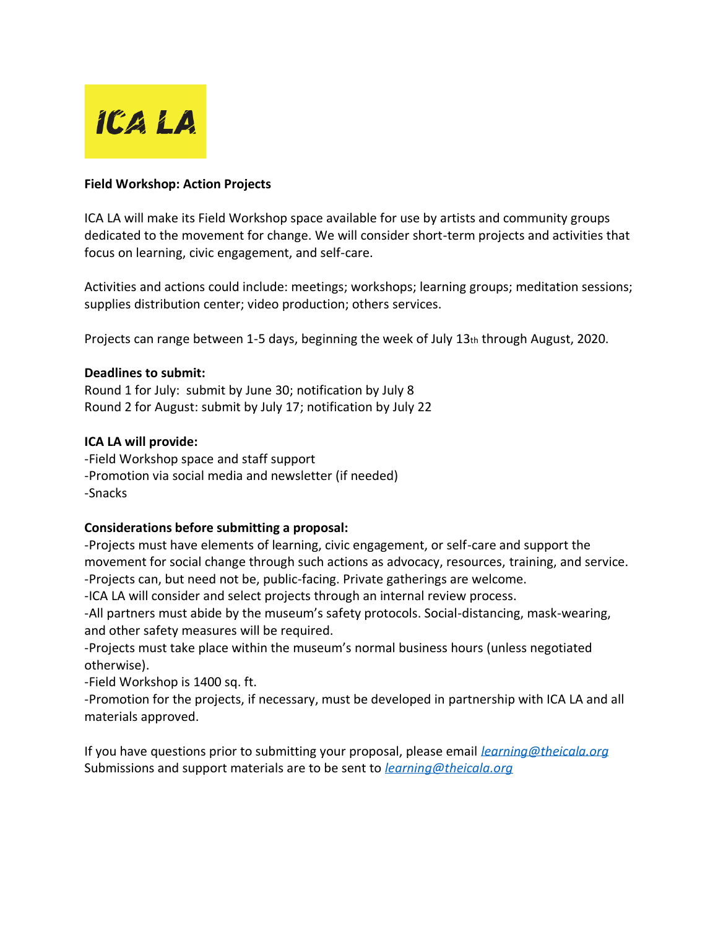

## **Field Workshop: Action Projects**

ICA LA will make its Field Workshop space available for use by artists and community groups dedicated to the movement for change. We will consider short-term projects and activities that focus on learning, civic engagement, and self-care.

Activities and actions could include: meetings; workshops; learning groups; meditation sessions; supplies distribution center; video production; others services.

Projects can range between 1-5 days, beginning the week of July 13th through August, 2020.

## **Deadlines to submit:**

Round 1 for July: submit by June 30; notification by July 8 Round 2 for August: submit by July 17; notification by July 22

## **ICA LA will provide:**

-Field Workshop space and staff support -Promotion via social media and newsletter (if needed) -Snacks

## **Considerations before submitting a proposal:**

-Projects must have elements of learning, civic engagement, or self-care and support the movement for social change through such actions as advocacy, resources, training, and service. -Projects can, but need not be, public-facing. Private gatherings are welcome.

-ICA LA will consider and select projects through an internal review process.

-All partners must abide by the museum's safety protocols. Social-distancing, mask-wearing, and other safety measures will be required.

-Projects must take place within the museum's normal business hours (unless negotiated otherwise).

-Field Workshop is 1400 sq. ft.

-Promotion for the projects, if necessary, must be developed in partnership with ICA LA and all materials approved.

If you have questions prior to submitting your proposal, please email *[learning@theicala.org](mailto:learning@theicala.org)* Submissions and support materials are to be sent to *[learning@theicala.org](mailto:learning@theicala.org)*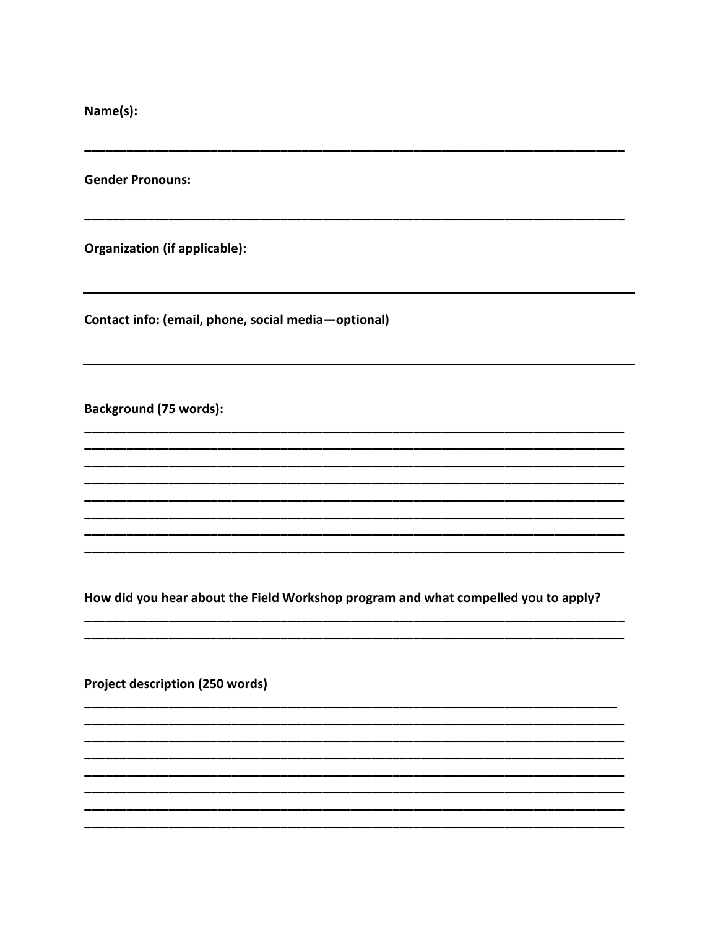Name(s):

**Gender Pronouns:** 

**Organization (if applicable):** 

Contact info: (email, phone, social media-optional)

**Background (75 words):** 

How did you hear about the Field Workshop program and what compelled you to apply?

Project description (250 words)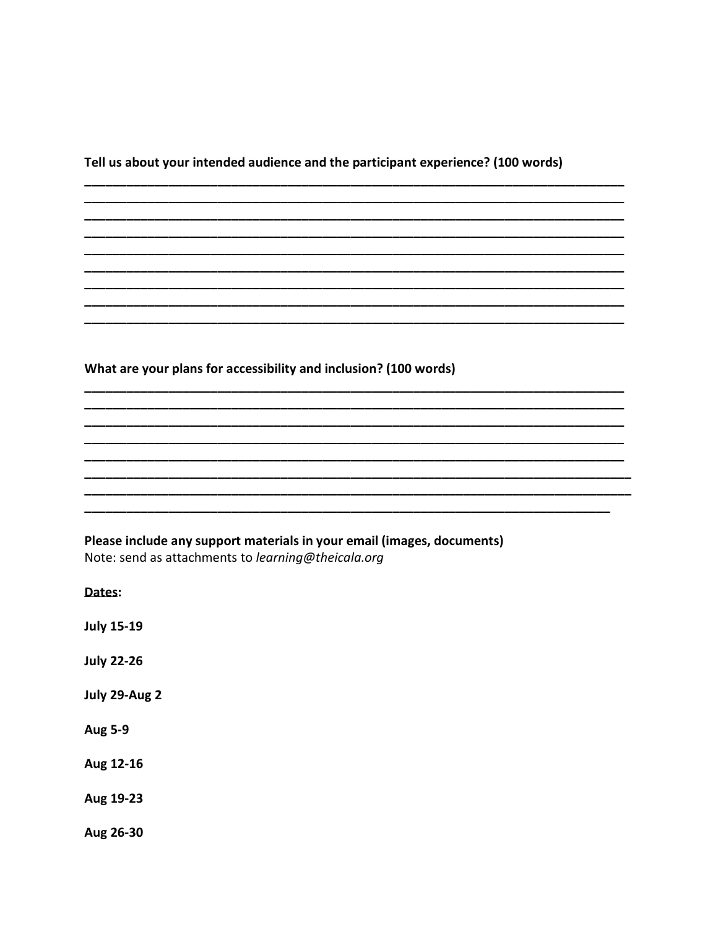Tell us about your intended audience and the participant experience? (100 words)

What are your plans for accessibility and inclusion? (100 words)

Please include any support materials in your email (images, documents) Note: send as attachments to learning@theicala.org

Dates:

**July 15-19** 

**July 22-26** 

July 29-Aug 2

**Aug 5-9** 

Aug 12-16

Aug 19-23

Aug 26-30